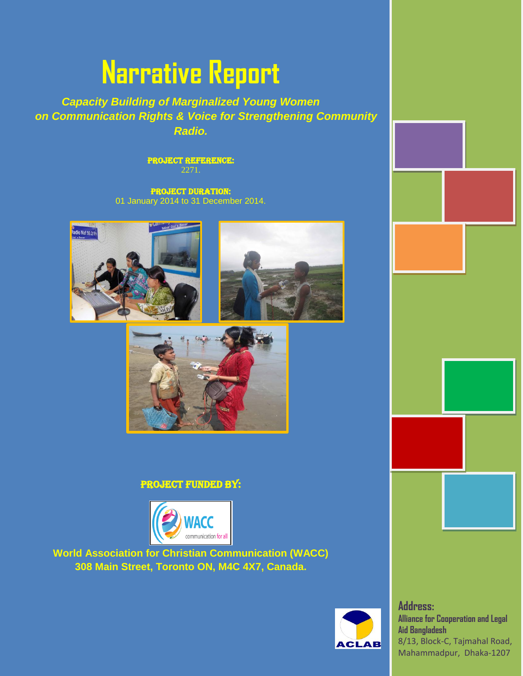# **Narrative Report**

*Capacity Building of Marginalized Young Women on Communication Rights & Voice for Strengthening Community Radio.*

> PROJECT REFERENCE: 2271.

PROJECT DURATION: 01 January 2014 to 31 December 2014.







# PROJECT FUNDED BY:



**World Association for Christian Communication (WACC) 308 Main Street, Toronto ON, M4C 4X7, Canada.**





**Address: Alliance for Cooperation and Legal Aid Bangladesh** 8/13, Block-C, Tajmahal Road, Mahammadpur, Dhaka-1207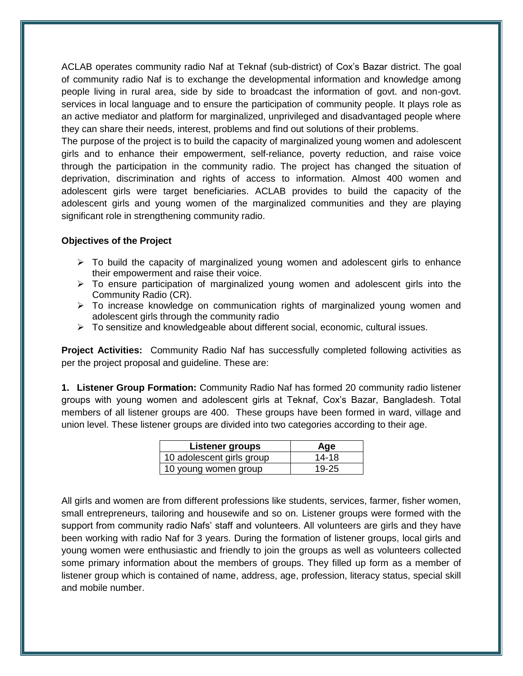ACLAB operates community radio Naf at Teknaf (sub-district) of Cox's Bazar district. The goal of community radio Naf is to exchange the developmental information and knowledge among people living in rural area, side by side to broadcast the information of govt. and non-govt. services in local language and to ensure the participation of community people. It plays role as an active mediator and platform for marginalized, unprivileged and disadvantaged people where they can share their needs, interest, problems and find out solutions of their problems.

The purpose of the project is to build the capacity of marginalized young women and adolescent girls and to enhance their empowerment, self-reliance, poverty reduction, and raise voice through the participation in the community radio. The project has changed the situation of deprivation, discrimination and rights of access to information. Almost 400 women and adolescent girls were target beneficiaries. ACLAB provides to build the capacity of the adolescent girls and young women of the marginalized communities and they are playing significant role in strengthening community radio.

#### **Objectives of the Project**

- $\triangleright$  To build the capacity of marginalized young women and adolescent girls to enhance their empowerment and raise their voice.
- $\triangleright$  To ensure participation of marginalized young women and adolescent girls into the Community Radio (CR).
- To increase knowledge on communication rights of marginalized young women and adolescent girls through the community radio
- $\triangleright$  To sensitize and knowledgeable about different social, economic, cultural issues.

**Project Activities:** Community Radio Naf has successfully completed following activities as per the project proposal and guideline. These are:

**1. Listener Group Formation:** Community Radio Naf has formed 20 community radio listener groups with young women and adolescent girls at Teknaf, Cox's Bazar, Bangladesh. Total members of all listener groups are 400. These groups have been formed in ward, village and union level. These listener groups are divided into two categories according to their age.

| <b>Listener groups</b>    | Age       |
|---------------------------|-----------|
| 10 adolescent girls group | 14-18     |
| 10 young women group      | $19 - 25$ |

All girls and women are from different professions like students, services, farmer, fisher women, small entrepreneurs, tailoring and housewife and so on. Listener groups were formed with the support from community radio Nafs' staff and volunteers. All volunteers are girls and they have been working with radio Naf for 3 years. During the formation of listener groups, local girls and young women were enthusiastic and friendly to join the groups as well as volunteers collected some primary information about the members of groups. They filled up form as a member of listener group which is contained of name, address, age, profession, literacy status, special skill and mobile number.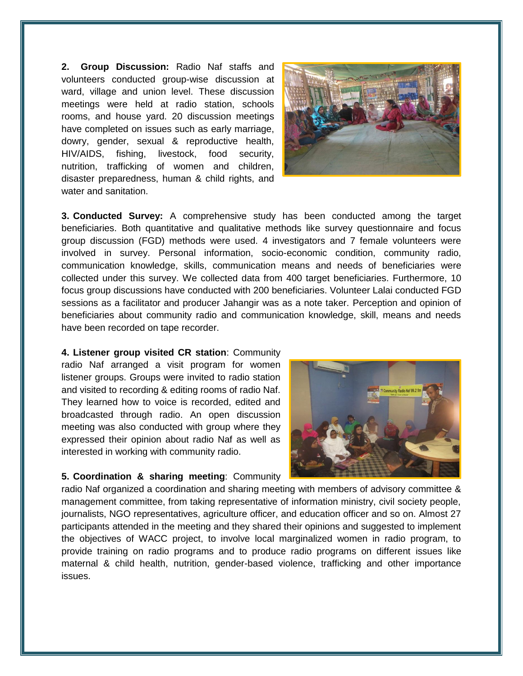**2. Group Discussion:** Radio Naf staffs and volunteers conducted group-wise discussion at ward, village and union level. These discussion meetings were held at radio station, schools rooms, and house yard. 20 discussion meetings have completed on issues such as early marriage, dowry, gender, sexual & reproductive health, HIV/AIDS, fishing, livestock, food security, nutrition, trafficking of women and children, disaster preparedness, human & child rights, and water and sanitation.



**3. Conducted Survey:** A comprehensive study has been conducted among the target beneficiaries. Both quantitative and qualitative methods like survey questionnaire and focus group discussion (FGD) methods were used. 4 investigators and 7 female volunteers were involved in survey. Personal information, socio-economic condition, community radio, communication knowledge, skills, communication means and needs of beneficiaries were collected under this survey. We collected data from 400 target beneficiaries. Furthermore, 10 focus group discussions have conducted with 200 beneficiaries. Volunteer Lalai conducted FGD sessions as a facilitator and producer Jahangir was as a note taker. Perception and opinion of beneficiaries about community radio and communication knowledge, skill, means and needs have been recorded on tape recorder.

**4. Listener group visited CR station**: Community radio Naf arranged a visit program for women listener groups. Groups were invited to radio station and visited to recording & editing rooms of radio Naf. They learned how to voice is recorded, edited and broadcasted through radio. An open discussion meeting was also conducted with group where they expressed their opinion about radio Naf as well as interested in working with community radio.



## **5. Coordination & sharing meeting**: Community

radio Naf organized a coordination and sharing meeting with members of advisory committee & management committee, from taking representative of information ministry, civil society people, journalists, NGO representatives, agriculture officer, and education officer and so on. Almost 27 participants attended in the meeting and they shared their opinions and suggested to implement the objectives of WACC project, to involve local marginalized women in radio program, to provide training on radio programs and to produce radio programs on different issues like maternal & child health, nutrition, gender-based violence, trafficking and other importance issues.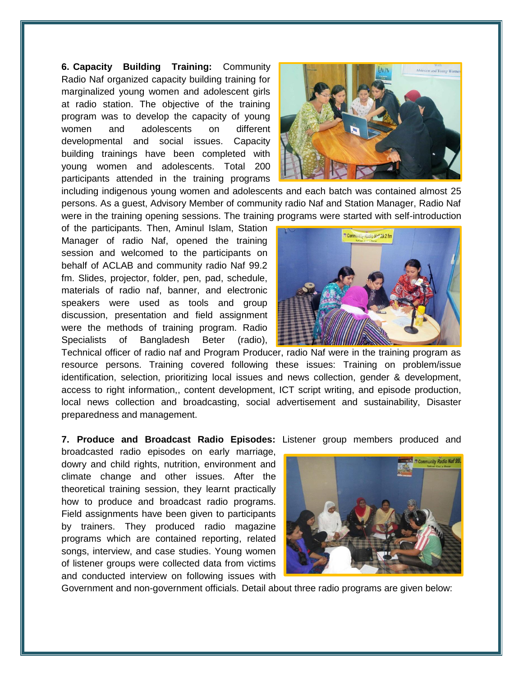**6. Capacity Building Training:** Community Radio Naf organized capacity building training for marginalized young women and adolescent girls at radio station. The objective of the training program was to develop the capacity of young women and adolescents on different developmental and social issues. Capacity building trainings have been completed with young women and adolescents. Total 200 participants attended in the training programs



including indigenous young women and adolescents and each batch was contained almost 25 persons. As a guest, Advisory Member of community radio Naf and Station Manager, Radio Naf were in the training opening sessions. The training programs were started with self-introduction

of the participants. Then, Aminul Islam, Station Manager of radio Naf, opened the training session and welcomed to the participants on behalf of ACLAB and community radio Naf 99.2 fm. Slides, projector, folder, pen, pad, schedule, materials of radio naf, banner, and electronic speakers were used as tools and group discussion, presentation and field assignment were the methods of training program. Radio Specialists of Bangladesh Beter (radio),



Technical officer of radio naf and Program Producer, radio Naf were in the training program as resource persons. Training covered following these issues: Training on problem/issue identification, selection, prioritizing local issues and news collection, gender & development, access to right information,, content development, ICT script writing, and episode production, local news collection and broadcasting, social advertisement and sustainability, Disaster preparedness and management.

**7. Produce and Broadcast Radio Episodes:** Listener group members produced and

broadcasted radio episodes on early marriage, dowry and child rights, nutrition, environment and climate change and other issues. After the theoretical training session, they learnt practically how to produce and broadcast radio programs. Field assignments have been given to participants by trainers. They produced radio magazine programs which are contained reporting, related songs, interview, and case studies. Young women of listener groups were collected data from victims and conducted interview on following issues with



Government and non-government officials. Detail about three radio programs are given below: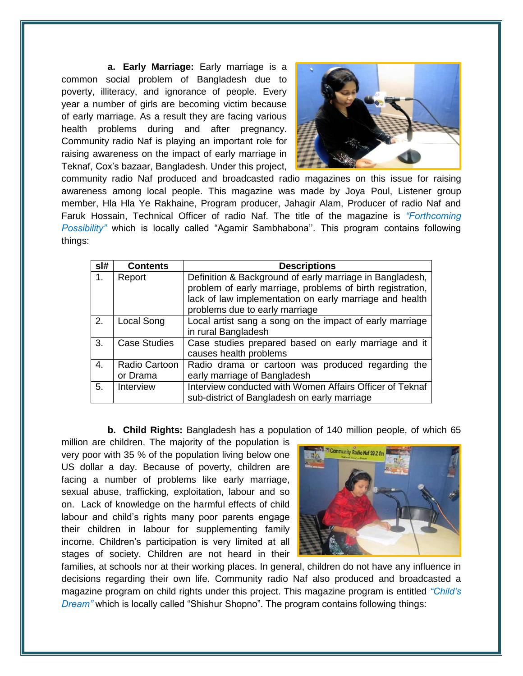**a. Early Marriage:** Early marriage is a common social problem of Bangladesh due to poverty, illiteracy, and ignorance of people. Every year a number of girls are becoming victim because of early marriage. As a result they are facing various health problems during and after pregnancy. Community radio Naf is playing an important role for raising awareness on the impact of early marriage in Teknaf, Cox's bazaar, Bangladesh. Under this project,



community radio Naf produced and broadcasted radio magazines on this issue for raising awareness among local people. This magazine was made by Joya Poul, Listener group member, Hla Hla Ye Rakhaine, Program producer, Jahagir Alam, Producer of radio Naf and Faruk Hossain, Technical Officer of radio Naf. The title of the magazine is *"Forthcoming Possibility"* which is locally called "Agamir Sambhabona''. This program contains following things:

| $s$ I# | <b>Contents</b>           | <b>Descriptions</b>                                                                                                                                                                                                 |
|--------|---------------------------|---------------------------------------------------------------------------------------------------------------------------------------------------------------------------------------------------------------------|
| 1.     | Report                    | Definition & Background of early marriage in Bangladesh,<br>problem of early marriage, problems of birth registration,<br>lack of law implementation on early marriage and health<br>problems due to early marriage |
| 2.     | Local Song                | Local artist sang a song on the impact of early marriage<br>in rural Bangladesh                                                                                                                                     |
| 3.     | <b>Case Studies</b>       | Case studies prepared based on early marriage and it<br>causes health problems                                                                                                                                      |
| 4.     | Radio Cartoon<br>or Drama | Radio drama or cartoon was produced regarding the<br>early marriage of Bangladesh                                                                                                                                   |
| 5.     | Interview                 | Interview conducted with Women Affairs Officer of Teknaf<br>sub-district of Bangladesh on early marriage                                                                                                            |

**b. Child Rights:** Bangladesh has a population of 140 million people, of which 65

million are children. The majority of the population is very poor with 35 % of the population living below one US dollar a day. Because of poverty, children are facing a number of problems like early marriage, sexual abuse, trafficking, exploitation, labour and so on. Lack of knowledge on the harmful effects of child labour and child's rights many poor parents engage their children in labour for supplementing family income. Children's participation is very limited at all stages of society. Children are not heard in their



families, at schools nor at their working places. In general, children do not have any influence in decisions regarding their own life. Community radio Naf also produced and broadcasted a magazine program on child rights under this project. This magazine program is entitled *"Child's Dream"* which is locally called "Shishur Shopno". The program contains following things: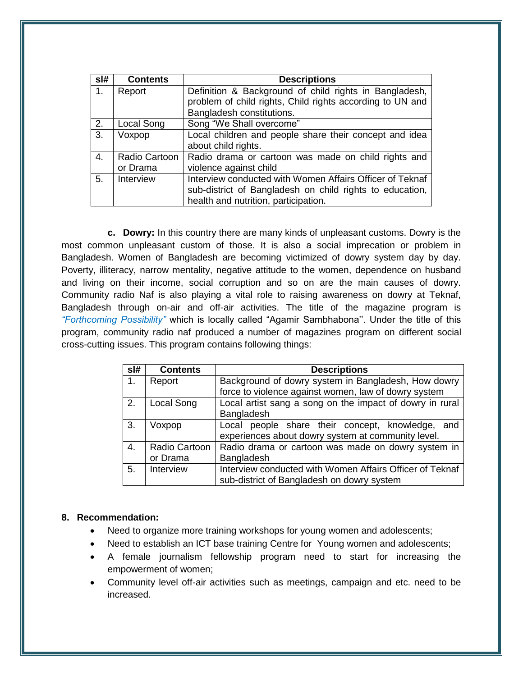| sl#            | <b>Contents</b> | <b>Descriptions</b>                                       |
|----------------|-----------------|-----------------------------------------------------------|
| 1.             | Report          | Definition & Background of child rights in Bangladesh,    |
|                |                 | problem of child rights, Child rights according to UN and |
|                |                 | Bangladesh constitutions.                                 |
| 2.             | Local Song      | Song "We Shall overcome"                                  |
| 3.             | Voxpop          | Local children and people share their concept and idea    |
|                |                 | about child rights.                                       |
| $\mathbf{4}$ . | Radio Cartoon   | Radio drama or cartoon was made on child rights and       |
|                | or Drama        | violence against child                                    |
| 5.             | Interview       | Interview conducted with Women Affairs Officer of Teknaf  |
|                |                 | sub-district of Bangladesh on child rights to education,  |
|                |                 | health and nutrition, participation.                      |

**c. Dowry:** In this country there are many kinds of unpleasant customs. Dowry is the most common unpleasant custom of those. It is also a social imprecation or problem in Bangladesh. Women of Bangladesh are becoming victimized of dowry system day by day. Poverty, illiteracy, narrow mentality, negative attitude to the women, dependence on husband and living on their income, social corruption and so on are the main causes of dowry. Community radio Naf is also playing a vital role to raising awareness on dowry at Teknaf, Bangladesh through on-air and off-air activities. The title of the magazine program is *"Forthcoming Possibility"* which is locally called "Agamir Sambhabona''. Under the title of this program, community radio naf produced a number of magazines program on different social cross-cutting issues. This program contains following things:

| sl# | <b>Contents</b>           | <b>Descriptions</b>                                                                                          |
|-----|---------------------------|--------------------------------------------------------------------------------------------------------------|
| 1.  | Report                    | Background of dowry system in Bangladesh, How dowry<br>force to violence against women, law of dowry system  |
| 2.  | Local Song                | Local artist sang a song on the impact of dowry in rural<br>Bangladesh                                       |
| 3.  | Voxpop                    | people share their concept, knowledge,<br>Local<br>and<br>experiences about dowry system at community level. |
| 4.  | Radio Cartoon<br>or Drama | Radio drama or cartoon was made on dowry system in<br>Bangladesh                                             |
| 5.  | Interview                 | Interview conducted with Women Affairs Officer of Teknaf<br>sub-district of Bangladesh on dowry system       |

#### **8. Recommendation:**

- Need to organize more training workshops for young women and adolescents;
- Need to establish an ICT base training Centre for Young women and adolescents;
- A female journalism fellowship program need to start for increasing the empowerment of women;
- Community level off-air activities such as meetings, campaign and etc. need to be increased.